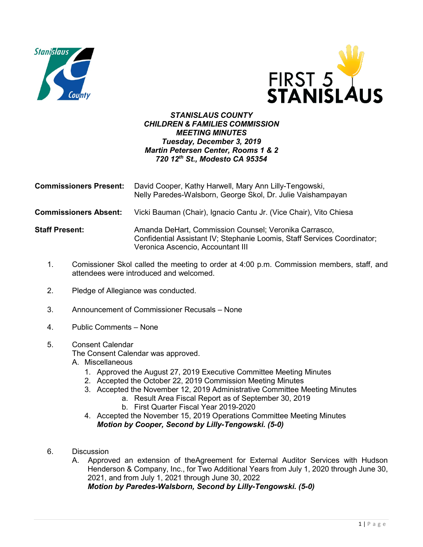



## *STANISLAUS COUNTY CHILDREN & FAMILIES COMMISSION MEETING MINUTES Tuesday, December 3, 2019 Martin Petersen Center, Rooms 1 & 2 720 12th St., Modesto CA 95354*

| <b>Commissioners Present:</b> | David Cooper, Kathy Harwell, Mary Ann Lilly-Tengowski,<br>Nelly Paredes-Walsborn, George Skol, Dr. Julie Vaishampayan                                                  |
|-------------------------------|------------------------------------------------------------------------------------------------------------------------------------------------------------------------|
| <b>Commissioners Absent:</b>  | Vicki Bauman (Chair), Ignacio Cantu Jr. (Vice Chair), Vito Chiesa                                                                                                      |
| <b>Staff Present:</b>         | Amanda DeHart, Commission Counsel; Veronika Carrasco,<br>Confidential Assistant IV; Stephanie Loomis, Staff Services Coordinator;<br>Veronica Ascencio, Accountant III |

- 1. Comissioner Skol called the meeting to order at 4:00 p.m. Commission members, staff, and attendees were introduced and welcomed.
- 2. Pledge of Allegiance was conducted.
- 3. Announcement of Commissioner Recusals None
- 4. Public Comments None
- 5. Consent Calendar

The Consent Calendar was approved.

A. Miscellaneous

- 1. Approved the August 27, 2019 Executive Committee Meeting Minutes
- 2. Accepted the October 22, 2019 Commission Meeting Minutes
- 3. Accepted the November 12, 2019 Administrative Committee Meeting Minutes
	- a. Result Area Fiscal Report as of September 30, 2019
	- b. First Quarter Fiscal Year 2019-2020
- 4. Accepted the November 15, 2019 Operations Committee Meeting Minutes *Motion by Cooper, Second by Lilly-Tengowski. (5-0)*
- 6. Discussion
	- A. Approved an extension of theAgreement for External Auditor Services with Hudson Henderson & Company, Inc., for Two Additional Years from July 1, 2020 through June 30, 2021, and from July 1, 2021 through June 30, 2022

*Motion by Paredes-Walsborn, Second by Lilly-Tengowski. (5-0)*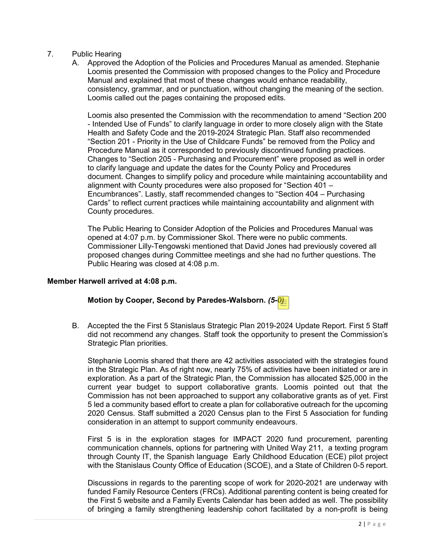## 7. Public Hearing

A. Approved the Adoption of the Policies and Procedures Manual as amended. Stephanie Loomis presented the Commission with proposed changes to the Policy and Procedure Manual and explained that most of these changes would enhance readability, consistency, grammar, and or punctuation, without changing the meaning of the section. Loomis called out the pages containing the proposed edits.

Loomis also presented the Commission with the recommendation to amend "Section 200 - Intended Use of Funds" to clarify language in order to more closely align with the State Health and Safety Code and the 2019-2024 Strategic Plan. Staff also recommended "Section 201 - Priority in the Use of Childcare Funds" be removed from the Policy and Procedure Manual as it corresponded to previously discontinued funding practices. Changes to "Section 205 - Purchasing and Procurement" were proposed as well in order to clarify language and update the dates for the County Policy and Procedures document. Changes to simplify policy and procedure while maintaining accountability and alignment with County procedures were also proposed for "Section 401 – Encumbrances". Lastly, staff recommended changes to "Section 404 – Purchasing Cards" to reflect current practices while maintaining accountability and alignment with County procedures.

The Public Hearing to Consider Adoption of the Policies and Procedures Manual was opened at 4:07 p.m. by Commissioner Skol. There were no public comments. Commissioner Lilly-Tengowski mentioned that David Jones had previously covered all proposed changes during Committee meetings and she had no further questions. The Public Hearing was closed at 4:08 p.m.

## **Member Harwell arrived at 4:08 p.m.**

## **Motion by Cooper, Second by Paredes-Walsborn.** *(5-0)*

B. Accepted the the First 5 Stanislaus Strategic Plan 2019-2024 Update Report. First 5 Staff did not recommend any changes. Staff took the opportunity to present the Commission's Strategic Plan priorities.

Stephanie Loomis shared that there are 42 activities associated with the strategies found in the Strategic Plan. As of right now, nearly 75% of activities have been initiated or are in exploration. As a part of the Strategic Plan, the Commission has allocated \$25,000 in the current year budget to support collaborative grants. Loomis pointed out that the Commission has not been approached to support any collaborative grants as of yet. First 5 led a community based effort to create a plan for collaborative outreach for the upcoming 2020 Census. Staff submitted a 2020 Census plan to the First 5 Association for funding consideration in an attempt to support community endeavours.

First 5 is in the exploration stages for IMPACT 2020 fund procurement, parenting communication channels, options for partnering with United Way 211, a texting program through County IT, the Spanish language Early Childhood Education (ECE) pilot project with the Stanislaus County Office of Education (SCOE), and a State of Children 0-5 report.

Discussions in regards to the parenting scope of work for 2020-2021 are underway with funded Family Resource Centers (FRCs). Additional parenting content is being created for the First 5 website and a Family Events Calendar has been added as well. The possibility of bringing a family strengthening leadership cohort facilitated by a non-profit is being